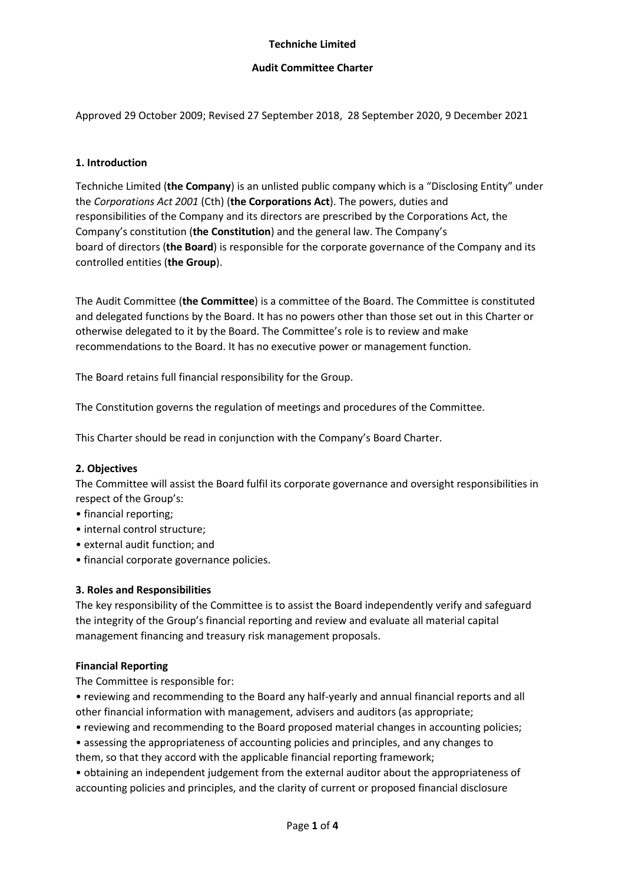### **Techniche Limited**

### **Audit Committee Charter**

Approved 29 October 2009; Revised 27 September 2018, 28 September 2020, 9 December 2021

### **1. Introduction**

Techniche Limited (**the Company**) is an unlisted public company which is a "Disclosing Entity" under the *Corporations Act 2001* (Cth) (**the Corporations Act**). The powers, duties and responsibilities of the Company and its directors are prescribed by the Corporations Act, the Company's constitution (**the Constitution**) and the general law. The Company's board of directors (**the Board**) is responsible for the corporate governance of the Company and its controlled entities (**the Group**).

The Audit Committee (**the Committee**) is a committee of the Board. The Committee is constituted and delegated functions by the Board. It has no powers other than those set out in this Charter or otherwise delegated to it by the Board. The Committee's role is to review and make recommendations to the Board. It has no executive power or management function.

The Board retains full financial responsibility for the Group.

The Constitution governs the regulation of meetings and procedures of the Committee.

This Charter should be read in conjunction with the Company's Board Charter.

#### **2. Objectives**

The Committee will assist the Board fulfil its corporate governance and oversight responsibilities in respect of the Group's:

- financial reporting;
- internal control structure;
- external audit function; and
- financial corporate governance policies.

#### **3. Roles and Responsibilities**

The key responsibility of the Committee is to assist the Board independently verify and safeguard the integrity of the Group's financial reporting and review and evaluate all material capital management financing and treasury risk management proposals.

#### **Financial Reporting**

The Committee is responsible for:

• reviewing and recommending to the Board any half-yearly and annual financial reports and all other financial information with management, advisers and auditors (as appropriate;

- reviewing and recommending to the Board proposed material changes in accounting policies;
- assessing the appropriateness of accounting policies and principles, and any changes to them, so that they accord with the applicable financial reporting framework;
- obtaining an independent judgement from the external auditor about the appropriateness of accounting policies and principles, and the clarity of current or proposed financial disclosure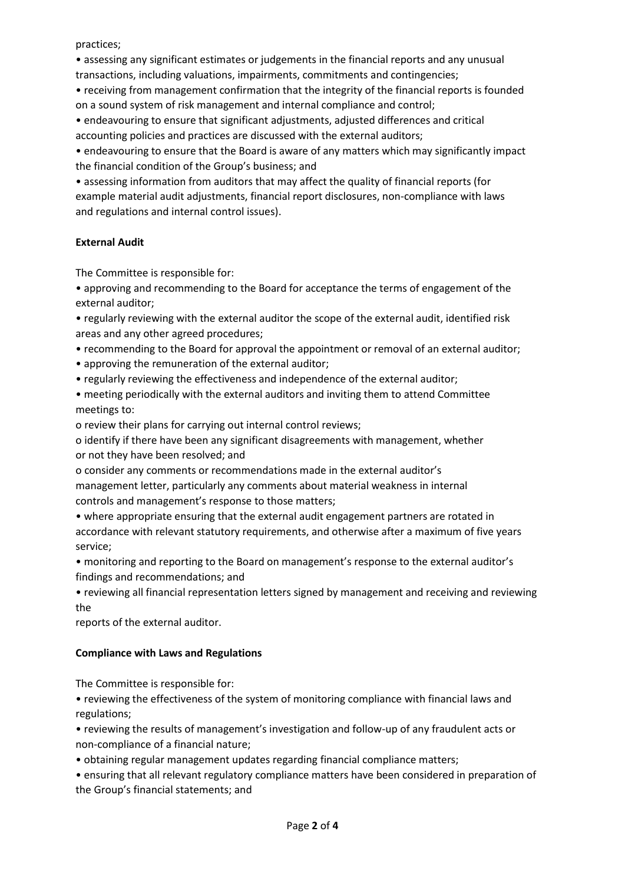practices;

• assessing any significant estimates or judgements in the financial reports and any unusual transactions, including valuations, impairments, commitments and contingencies;

• receiving from management confirmation that the integrity of the financial reports is founded on a sound system of risk management and internal compliance and control;

• endeavouring to ensure that significant adjustments, adjusted differences and critical accounting policies and practices are discussed with the external auditors;

• endeavouring to ensure that the Board is aware of any matters which may significantly impact the financial condition of the Group's business; and

• assessing information from auditors that may affect the quality of financial reports (for example material audit adjustments, financial report disclosures, non-compliance with laws and regulations and internal control issues).

# **External Audit**

The Committee is responsible for:

• approving and recommending to the Board for acceptance the terms of engagement of the external auditor;

• regularly reviewing with the external auditor the scope of the external audit, identified risk areas and any other agreed procedures;

- recommending to the Board for approval the appointment or removal of an external auditor;
- approving the remuneration of the external auditor;
- regularly reviewing the effectiveness and independence of the external auditor;

• meeting periodically with the external auditors and inviting them to attend Committee meetings to:

o review their plans for carrying out internal control reviews;

o identify if there have been any significant disagreements with management, whether or not they have been resolved; and

o consider any comments or recommendations made in the external auditor's management letter, particularly any comments about material weakness in internal controls and management's response to those matters;

• where appropriate ensuring that the external audit engagement partners are rotated in accordance with relevant statutory requirements, and otherwise after a maximum of five years service;

• monitoring and reporting to the Board on management's response to the external auditor's findings and recommendations; and

• reviewing all financial representation letters signed by management and receiving and reviewing the

reports of the external auditor.

## **Compliance with Laws and Regulations**

The Committee is responsible for:

• reviewing the effectiveness of the system of monitoring compliance with financial laws and regulations;

• reviewing the results of management's investigation and follow-up of any fraudulent acts or non-compliance of a financial nature;

• obtaining regular management updates regarding financial compliance matters;

• ensuring that all relevant regulatory compliance matters have been considered in preparation of the Group's financial statements; and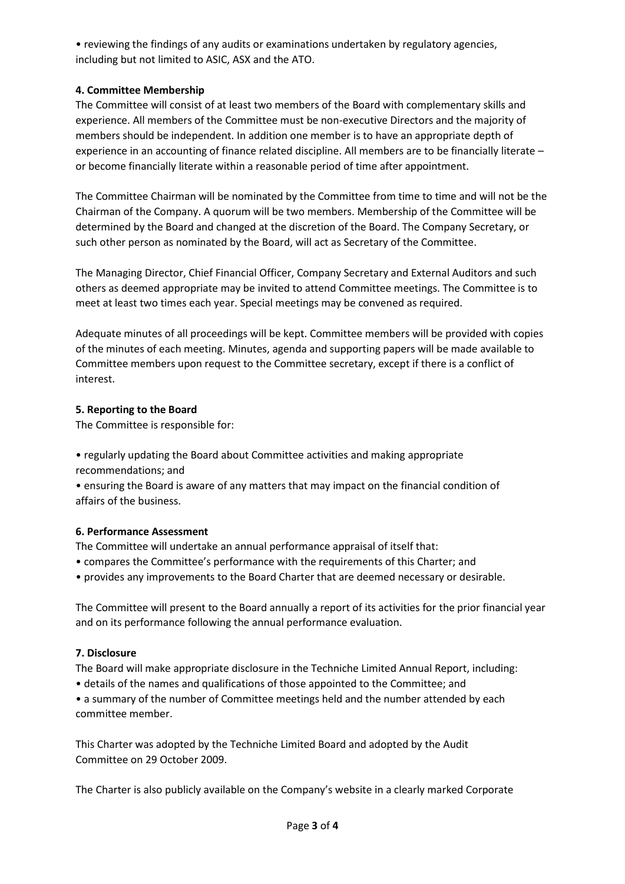• reviewing the findings of any audits or examinations undertaken by regulatory agencies, including but not limited to ASIC, ASX and the ATO.

# **4. Committee Membership**

The Committee will consist of at least two members of the Board with complementary skills and experience. All members of the Committee must be non-executive Directors and the majority of members should be independent. In addition one member is to have an appropriate depth of experience in an accounting of finance related discipline. All members are to be financially literate – or become financially literate within a reasonable period of time after appointment.

The Committee Chairman will be nominated by the Committee from time to time and will not be the Chairman of the Company. A quorum will be two members. Membership of the Committee will be determined by the Board and changed at the discretion of the Board. The Company Secretary, or such other person as nominated by the Board, will act as Secretary of the Committee.

The Managing Director, Chief Financial Officer, Company Secretary and External Auditors and such others as deemed appropriate may be invited to attend Committee meetings. The Committee is to meet at least two times each year. Special meetings may be convened as required.

Adequate minutes of all proceedings will be kept. Committee members will be provided with copies of the minutes of each meeting. Minutes, agenda and supporting papers will be made available to Committee members upon request to the Committee secretary, except if there is a conflict of interest.

## **5. Reporting to the Board**

The Committee is responsible for:

• regularly updating the Board about Committee activities and making appropriate recommendations; and

• ensuring the Board is aware of any matters that may impact on the financial condition of affairs of the business.

# **6. Performance Assessment**

The Committee will undertake an annual performance appraisal of itself that:

- compares the Committee's performance with the requirements of this Charter; and
- provides any improvements to the Board Charter that are deemed necessary or desirable.

The Committee will present to the Board annually a report of its activities for the prior financial year and on its performance following the annual performance evaluation.

## **7. Disclosure**

The Board will make appropriate disclosure in the Techniche Limited Annual Report, including:

• details of the names and qualifications of those appointed to the Committee; and

• a summary of the number of Committee meetings held and the number attended by each committee member.

This Charter was adopted by the Techniche Limited Board and adopted by the Audit Committee on 29 October 2009.

The Charter is also publicly available on the Company's website in a clearly marked Corporate